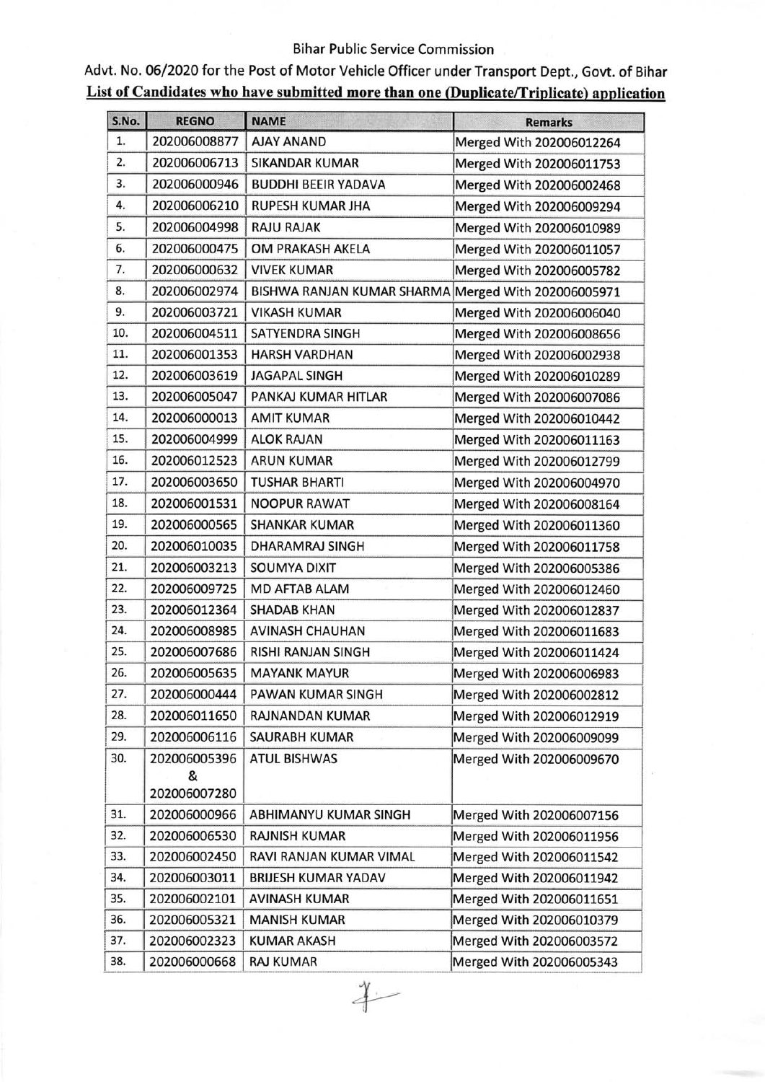## Bihar Public Service Commission

Advt. No. 06/2020 for the Post of Motor Vehicle Officer under Transport Dept., Govt. of Bihar List of Candidates who have submitted more than one (Duplicate/Triplicate) application

| S.No. | <b>REGNO</b> | <b>NAME</b>                                         | <b>Remarks</b>           |
|-------|--------------|-----------------------------------------------------|--------------------------|
| 1.    | 202006008877 | <b>AJAY ANAND</b>                                   | Merged With 202006012264 |
| 2.    | 202006006713 | <b>SIKANDAR KUMAR</b>                               | Merged With 202006011753 |
| 3.    | 202006000946 | <b>BUDDHI BEEIR YADAVA</b>                          | Merged With 202006002468 |
| 4.    | 202006006210 | <b>RUPESH KUMAR JHA</b>                             | Merged With 202006009294 |
| 5.    | 202006004998 | <b>RAJU RAJAK</b>                                   | Merged With 202006010989 |
| 6.    | 202006000475 | <b>OM PRAKASH AKELA</b>                             | Merged With 202006011057 |
| 7.    | 202006000632 | <b>VIVEK KUMAR</b>                                  | Merged With 202006005782 |
| 8.    | 202006002974 | BISHWA RANJAN KUMAR SHARMA Merged With 202006005971 |                          |
| 9.    | 202006003721 | <b>VIKASH KUMAR</b>                                 | Merged With 202006006040 |
| 10.   | 202006004511 | <b>SATYENDRA SINGH</b>                              | Merged With 202006008656 |
| 11.   | 202006001353 | <b>HARSH VARDHAN</b>                                | Merged With 202006002938 |
| 12.   | 202006003619 | <b>JAGAPAL SINGH</b>                                | Merged With 202006010289 |
| 13.   | 202006005047 | PANKAJ KUMAR HITLAR                                 | Merged With 202006007086 |
| 14.   | 202006000013 | <b>AMIT KUMAR</b>                                   | Merged With 202006010442 |
| 15.   | 202006004999 | <b>ALOK RAJAN</b>                                   | Merged With 202006011163 |
| 16.   | 202006012523 | <b>ARUN KUMAR</b>                                   | Merged With 202006012799 |
| 17.   | 202006003650 | <b>TUSHAR BHARTI</b>                                | Merged With 202006004970 |
| 18.   | 202006001531 | <b>NOOPUR RAWAT</b>                                 | Merged With 202006008164 |
| 19.   | 202006000565 | <b>SHANKAR KUMAR</b>                                | Merged With 202006011360 |
| 20.   | 202006010035 | <b>DHARAMRAJ SINGH</b>                              | Merged With 202006011758 |
| 21.   | 202006003213 | <b>SOUMYA DIXIT</b>                                 | Merged With 202006005386 |
| 22.   | 202006009725 | <b>MD AFTAB ALAM</b>                                | Merged With 202006012460 |
| 23.   | 202006012364 | <b>SHADAB KHAN</b>                                  | Merged With 202006012837 |
| 24.   | 202006008985 | <b>AVINASH CHAUHAN</b>                              | Merged With 202006011683 |
| 25.   | 202006007686 | RISHI RANJAN SINGH                                  | Merged With 202006011424 |
| 26.   | 202006005635 | <b>MAYANK MAYUR</b>                                 | Merged With 202006006983 |
| 27.   | 202006000444 | PAWAN KUMAR SINGH                                   | Merged With 202006002812 |
| 28.   | 202006011650 | <b>RAJNANDAN KUMAR</b>                              | Merged With 202006012919 |
| 29.   | 202006006116 | <b>SAURABH KUMAR</b>                                | Merged With 202006009099 |
| 30.   | 202006005396 | <b>ATUL BISHWAS</b>                                 | Merged With 202006009670 |
|       | &            |                                                     |                          |
|       | 202006007280 |                                                     |                          |
| 31.   | 202006000966 | ABHIMANYU KUMAR SINGH                               | Merged With 202006007156 |
| 32.   | 202006006530 | <b>RAJNISH KUMAR</b>                                | Merged With 202006011956 |
| 33.   | 202006002450 | RAVI RANJAN KUMAR VIMAL                             | Merged With 202006011542 |
| 34.   | 202006003011 | <b>BRIJESH KUMAR YADAV</b>                          | Merged With 202006011942 |
| 35.   | 202006002101 | <b>AVINASH KUMAR</b>                                | Merged With 202006011651 |
| 36.   | 202006005321 | <b>MANISH KUMAR</b>                                 | Merged With 202006010379 |
| 37.   | 202006002323 | <b>KUMAR AKASH</b>                                  | Merged With 202006003572 |
| 38.   | 202006000668 | <b>RAJ KUMAR</b>                                    | Merged With 202006005343 |

 $4-$